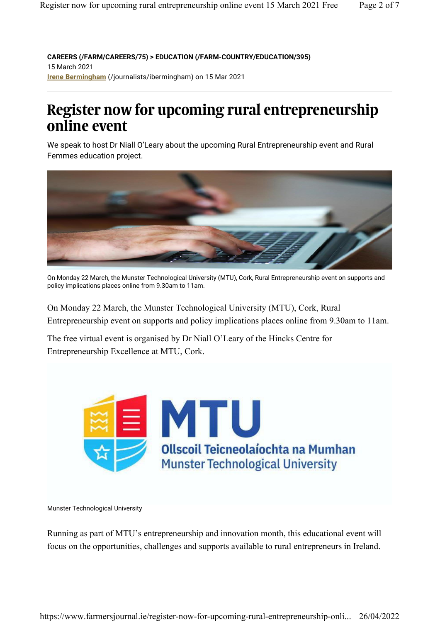**CAREERS (/FARM/CAREERS/75) > EDUCATION (/FARM-COUNTRY/EDUCATION/395)** 15 March 2021 **Irene Bermingham** (/journalists/ibermingham) on 15 Mar 2021

# **Register now for upcoming rural entrepreneurship online event**

We speak to host Dr Niall O'Leary about the upcoming Rural Entrepreneurship event and Rural Femmes education project.



On Monday 22 March, the Munster Technological University (MTU), Cork, Rural Entrepreneurship event on supports and policy implications places online from 9.30am to 11am.

On Monday 22 March, the Munster Technological University (MTU), Cork, Rural Entrepreneurship event on supports and policy implications places online from 9.30am to 11am.

The free virtual event is organised by Dr Niall O'Leary of the Hincks Centre for Entrepreneurship Excellence at MTU, Cork.



Munster Technological University

Running as part of MTU's entrepreneurship and innovation month, this educational event will focus on the opportunities, challenges and supports available to rural entrepreneurs in Ireland.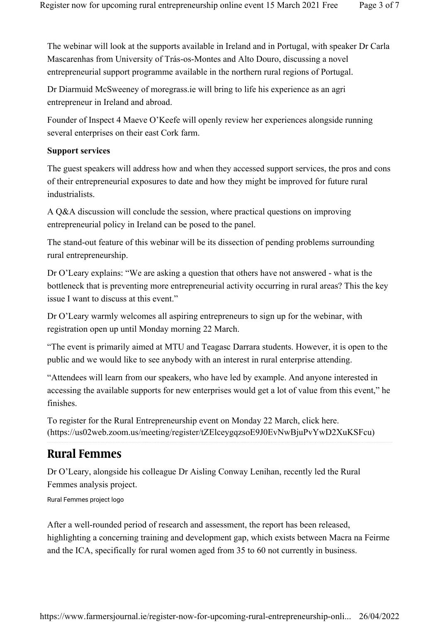The webinar will look at the supports available in Ireland and in Portugal, with speaker Dr Carla Mascarenhas from University of Trás-os-Montes and Alto Douro, discussing a novel entrepreneurial support programme available in the northern rural regions of Portugal.

Dr Diarmuid McSweeney of moregrass.ie will bring to life his experience as an agri entrepreneur in Ireland and abroad.

Founder of Inspect 4 Maeve O'Keefe will openly review her experiences alongside running several enterprises on their east Cork farm.

## **Support services**

The guest speakers will address how and when they accessed support services, the pros and cons of their entrepreneurial exposures to date and how they might be improved for future rural industrialists.

A Q&A discussion will conclude the session, where practical questions on improving entrepreneurial policy in Ireland can be posed to the panel.

The stand-out feature of this webinar will be its dissection of pending problems surrounding rural entrepreneurship.

Dr O'Leary explains: "We are asking a question that others have not answered - what is the bottleneck that is preventing more entrepreneurial activity occurring in rural areas? This the key issue I want to discuss at this event."

Dr O'Leary warmly welcomes all aspiring entrepreneurs to sign up for the webinar, with registration open up until Monday morning 22 March.

"The event is primarily aimed at MTU and Teagasc Darrara students. However, it is open to the public and we would like to see anybody with an interest in rural enterprise attending.

"Attendees will learn from our speakers, who have led by example. And anyone interested in accessing the available supports for new enterprises would get a lot of value from this event," he finishes.

To register for the Rural Entrepreneurship event on Monday 22 March, click here. (https://us02web.zoom.us/meeting/register/tZElceygqzsoE9J0EvNwBjuPvYwD2XuKSFcu)

# **Rural Femmes**

Dr O'Leary, alongside his colleague Dr Aisling Conway Lenihan, recently led the Rural Femmes analysis project.

Rural Femmes project logo

After a well-rounded period of research and assessment, the report has been released, highlighting a concerning training and development gap, which exists between Macra na Feirme and the ICA, specifically for rural women aged from 35 to 60 not currently in business.